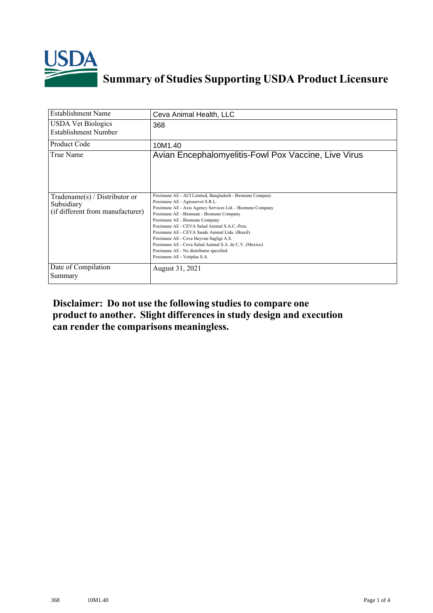

## **Summary of Studies Supporting USDA Product Licensure**

| <b>Establishment Name</b>                                                         | Ceva Animal Health, LLC                                                                                                                                                                                                                                                                                                                                                                                                                                                                                          |
|-----------------------------------------------------------------------------------|------------------------------------------------------------------------------------------------------------------------------------------------------------------------------------------------------------------------------------------------------------------------------------------------------------------------------------------------------------------------------------------------------------------------------------------------------------------------------------------------------------------|
| <b>USDA Vet Biologics</b><br>Establishment Number                                 | 368                                                                                                                                                                                                                                                                                                                                                                                                                                                                                                              |
| <b>Product Code</b>                                                               | 10M1.40                                                                                                                                                                                                                                                                                                                                                                                                                                                                                                          |
| True Name                                                                         | Avian Encephalomyelitis-Fowl Pox Vaccine, Live Virus                                                                                                                                                                                                                                                                                                                                                                                                                                                             |
| $Tradename(s) / Distributor$ or<br>Subsidiary<br>(if different from manufacturer) | Poximune AE - ACI Limited, Bangladesh - Biomune Company<br>Poximune AE - Agroservet S.R.L.<br>Poximune AE - Axis Agency Services Ltd. - Biomune Company<br>Poximune AE - Biomune - Biomune Company<br>Poximune AE - Biomune Company<br>Poximune AE - CEVA Salud Animal S A C -Peru<br>Poximune AE - CEVA Saude Animal Ltda. (Brazil)<br>Poximune AE - Ceva Hayvan Sagligi A.S.<br>Poximune AE - Ceva Salud Animal S.A. de C.V. (Mexico)<br>Poximune AE - No distributor specified<br>Poximune AE - Vetiplus S.A. |
| Date of Compilation<br>Summary                                                    | August 31, 2021                                                                                                                                                                                                                                                                                                                                                                                                                                                                                                  |

**Disclaimer: Do not use the following studiesto compare one product to another. Slight differencesin study design and execution can render the comparisons meaningless.**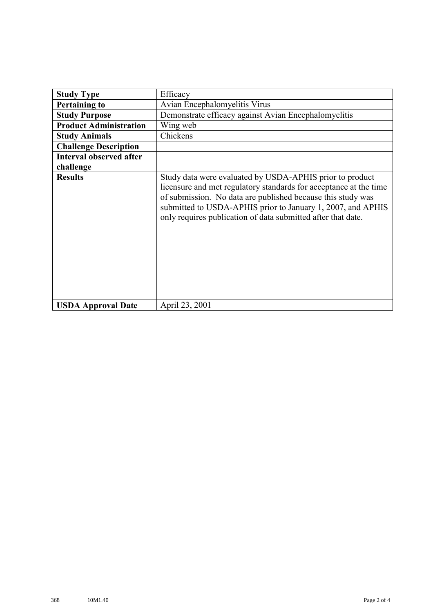| <b>Study Type</b>              | Efficacy                                                                                                                                                                                                                                                                                                                    |
|--------------------------------|-----------------------------------------------------------------------------------------------------------------------------------------------------------------------------------------------------------------------------------------------------------------------------------------------------------------------------|
| <b>Pertaining to</b>           | Avian Encephalomyelitis Virus                                                                                                                                                                                                                                                                                               |
| <b>Study Purpose</b>           | Demonstrate efficacy against Avian Encephalomyelitis                                                                                                                                                                                                                                                                        |
| <b>Product Administration</b>  | Wing web                                                                                                                                                                                                                                                                                                                    |
| <b>Study Animals</b>           | Chickens                                                                                                                                                                                                                                                                                                                    |
| <b>Challenge Description</b>   |                                                                                                                                                                                                                                                                                                                             |
| <b>Interval observed after</b> |                                                                                                                                                                                                                                                                                                                             |
| challenge                      |                                                                                                                                                                                                                                                                                                                             |
| <b>Results</b>                 | Study data were evaluated by USDA-APHIS prior to product<br>licensure and met regulatory standards for acceptance at the time<br>of submission. No data are published because this study was<br>submitted to USDA-APHIS prior to January 1, 2007, and APHIS<br>only requires publication of data submitted after that date. |
| <b>USDA Approval Date</b>      | April 23, 2001                                                                                                                                                                                                                                                                                                              |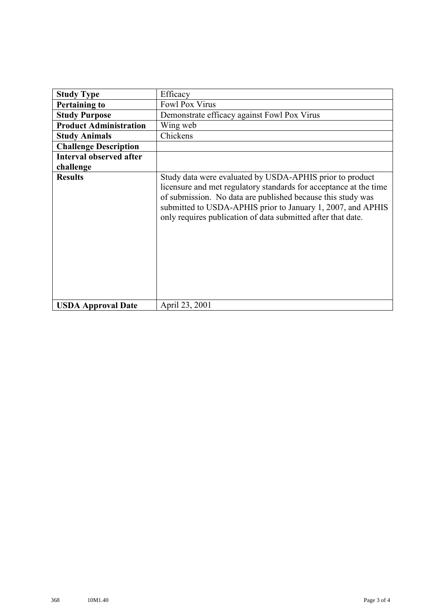| <b>Study Type</b>              | Efficacy                                                                                                                                                                                                                                                                                                                    |
|--------------------------------|-----------------------------------------------------------------------------------------------------------------------------------------------------------------------------------------------------------------------------------------------------------------------------------------------------------------------------|
| <b>Pertaining to</b>           | Fowl Pox Virus                                                                                                                                                                                                                                                                                                              |
| <b>Study Purpose</b>           | Demonstrate efficacy against Fowl Pox Virus                                                                                                                                                                                                                                                                                 |
| <b>Product Administration</b>  | Wing web                                                                                                                                                                                                                                                                                                                    |
| <b>Study Animals</b>           | Chickens                                                                                                                                                                                                                                                                                                                    |
| <b>Challenge Description</b>   |                                                                                                                                                                                                                                                                                                                             |
| <b>Interval observed after</b> |                                                                                                                                                                                                                                                                                                                             |
| challenge                      |                                                                                                                                                                                                                                                                                                                             |
| <b>Results</b>                 | Study data were evaluated by USDA-APHIS prior to product<br>licensure and met regulatory standards for acceptance at the time<br>of submission. No data are published because this study was<br>submitted to USDA-APHIS prior to January 1, 2007, and APHIS<br>only requires publication of data submitted after that date. |
| <b>USDA Approval Date</b>      | April 23, 2001                                                                                                                                                                                                                                                                                                              |